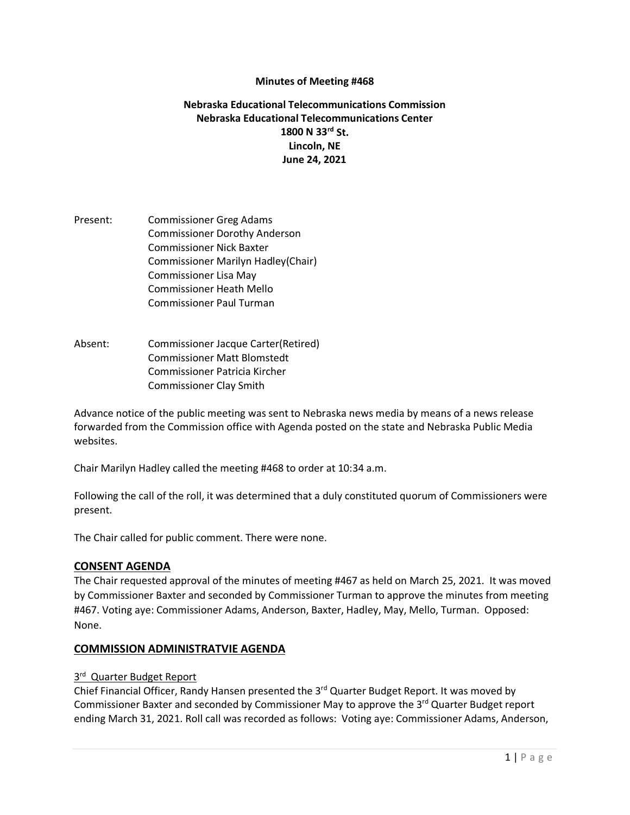### **Minutes of Meeting #468**

### **Nebraska Educational Telecommunications Commission Nebraska Educational Telecommunications Center 1800 N 33rd St. Lincoln, NE June 24, 2021**

- Present: Commissioner Greg Adams Commissioner Dorothy Anderson Commissioner Nick Baxter Commissioner Marilyn Hadley(Chair) Commissioner Lisa May Commissioner Heath Mello Commissioner Paul Turman
- Absent: Commissioner Jacque Carter(Retired) Commissioner Matt Blomstedt Commissioner Patricia Kircher Commissioner Clay Smith

Advance notice of the public meeting was sent to Nebraska news media by means of a news release forwarded from the Commission office with Agenda posted on the state and Nebraska Public Media websites.

Chair Marilyn Hadley called the meeting #468 to order at 10:34 a.m.

Following the call of the roll, it was determined that a duly constituted quorum of Commissioners were present.

The Chair called for public comment. There were none.

#### **CONSENT AGENDA**

The Chair requested approval of the minutes of meeting #467 as held on March 25, 2021. It was moved by Commissioner Baxter and seconded by Commissioner Turman to approve the minutes from meeting #467. Voting aye: Commissioner Adams, Anderson, Baxter, Hadley, May, Mello, Turman. Opposed: None.

#### **COMMISSION ADMINISTRATVIE AGENDA**

#### 3rd Quarter Budget Report

Chief Financial Officer, Randy Hansen presented the 3<sup>rd</sup> Quarter Budget Report. It was moved by Commissioner Baxter and seconded by Commissioner May to approve the 3<sup>rd</sup> Quarter Budget report ending March 31, 2021. Roll call was recorded as follows: Voting aye: Commissioner Adams, Anderson,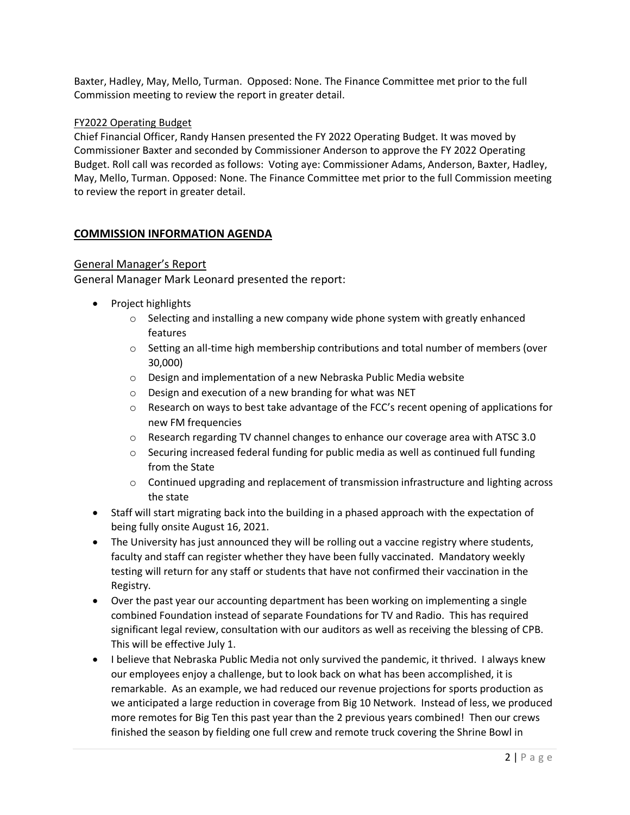Baxter, Hadley, May, Mello, Turman. Opposed: None. The Finance Committee met prior to the full Commission meeting to review the report in greater detail.

### FY2022 Operating Budget

Chief Financial Officer, Randy Hansen presented the FY 2022 Operating Budget. It was moved by Commissioner Baxter and seconded by Commissioner Anderson to approve the FY 2022 Operating Budget. Roll call was recorded as follows: Voting aye: Commissioner Adams, Anderson, Baxter, Hadley, May, Mello, Turman. Opposed: None. The Finance Committee met prior to the full Commission meeting to review the report in greater detail.

## **COMMISSION INFORMATION AGENDA**

### General Manager's Report

General Manager Mark Leonard presented the report:

- Project highlights
	- $\circ$  Selecting and installing a new company wide phone system with greatly enhanced features
	- $\circ$  Setting an all-time high membership contributions and total number of members (over 30,000)
	- o Design and implementation of a new Nebraska Public Media website
	- o Design and execution of a new branding for what was NET
	- o Research on ways to best take advantage of the FCC's recent opening of applications for new FM frequencies
	- $\circ$  Research regarding TV channel changes to enhance our coverage area with ATSC 3.0
	- $\circ$  Securing increased federal funding for public media as well as continued full funding from the State
	- $\circ$  Continued upgrading and replacement of transmission infrastructure and lighting across the state
- Staff will start migrating back into the building in a phased approach with the expectation of being fully onsite August 16, 2021.
- The University has just announced they will be rolling out a vaccine registry where students, faculty and staff can register whether they have been fully vaccinated. Mandatory weekly testing will return for any staff or students that have not confirmed their vaccination in the Registry.
- Over the past year our accounting department has been working on implementing a single combined Foundation instead of separate Foundations for TV and Radio. This has required significant legal review, consultation with our auditors as well as receiving the blessing of CPB. This will be effective July 1.
- I believe that Nebraska Public Media not only survived the pandemic, it thrived. I always knew our employees enjoy a challenge, but to look back on what has been accomplished, it is remarkable. As an example, we had reduced our revenue projections for sports production as we anticipated a large reduction in coverage from Big 10 Network. Instead of less, we produced more remotes for Big Ten this past year than the 2 previous years combined! Then our crews finished the season by fielding one full crew and remote truck covering the Shrine Bowl in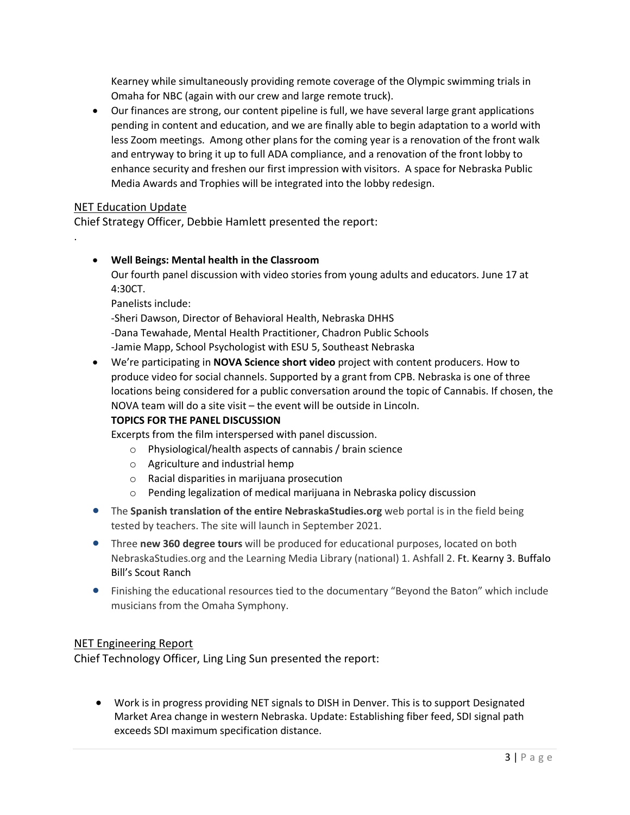Kearney while simultaneously providing remote coverage of the Olympic swimming trials in Omaha for NBC (again with our crew and large remote truck).

• Our finances are strong, our content pipeline is full, we have several large grant applications pending in content and education, and we are finally able to begin adaptation to a world with less Zoom meetings. Among other plans for the coming year is a renovation of the front walk and entryway to bring it up to full ADA compliance, and a renovation of the front lobby to enhance security and freshen our first impression with visitors. A space for Nebraska Public Media Awards and Trophies will be integrated into the lobby redesign.

## NET Education Update

.

Chief Strategy Officer, Debbie Hamlett presented the report:

## • **Well Beings: Mental health in the Classroom**

Our fourth panel discussion with video stories from young adults and educators. June 17 at 4:30CT.

Panelists include:

-Sheri Dawson, Director of Behavioral Health, Nebraska DHHS -Dana Tewahade, Mental Health Practitioner, Chadron Public Schools -Jamie Mapp, School Psychologist with ESU 5, Southeast Nebraska

• We're participating in **NOVA Science short video** project with content producers. How to produce video for social channels. Supported by a grant from CPB. Nebraska is one of three locations being considered for a public conversation around the topic of Cannabis. If chosen, the NOVA team will do a site visit – the event will be outside in Lincoln.

# **TOPICS FOR THE PANEL DISCUSSION**

Excerpts from the film interspersed with panel discussion.

- o Physiological/health aspects of cannabis / brain science
- o Agriculture and industrial hemp
- o Racial disparities in marijuana prosecution
- o Pending legalization of medical marijuana in Nebraska policy discussion
- The **Spanish translation of the entire NebraskaStudies.org** web portal is in the field being tested by teachers. The site will launch in September 2021.
- Three **new 360 degree tours** will be produced for educational purposes, located on both NebraskaStudies.org and the Learning Media Library (national) 1. Ashfall 2. Ft. Kearny 3. Buffalo Bill's Scout Ranch
- Finishing the educational resources tied to the documentary "Beyond the Baton" which include musicians from the Omaha Symphony.

## NET Engineering Report

Chief Technology Officer, Ling Ling Sun presented the report:

• Work is in progress providing NET signals to DISH in Denver. This is to support Designated Market Area change in western Nebraska. Update: Establishing fiber feed, SDI signal path exceeds SDI maximum specification distance.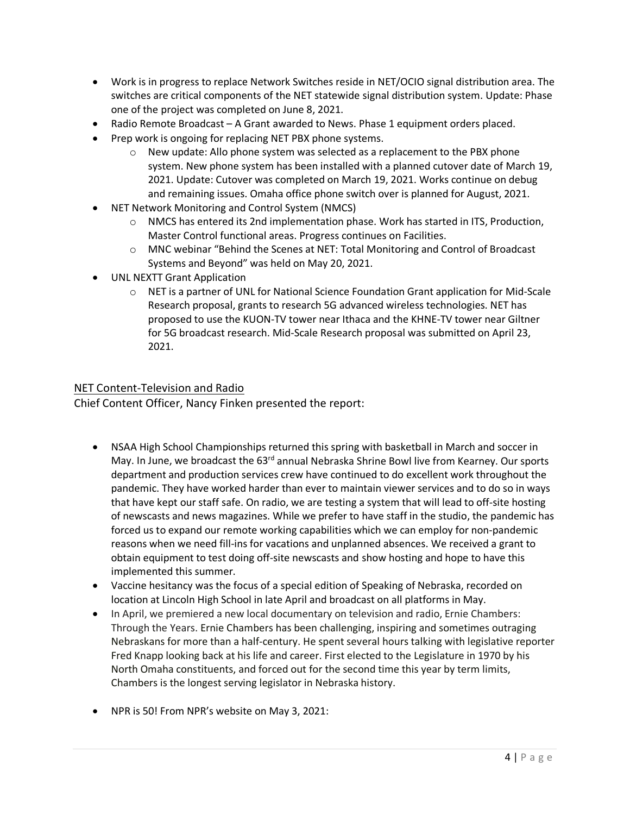- Work is in progress to replace Network Switches reside in NET/OCIO signal distribution area. The switches are critical components of the NET statewide signal distribution system. Update: Phase one of the project was completed on June 8, 2021.
- Radio Remote Broadcast A Grant awarded to News. Phase 1 equipment orders placed.
- Prep work is ongoing for replacing NET PBX phone systems.
	- o New update: Allo phone system was selected as a replacement to the PBX phone system. New phone system has been installed with a planned cutover date of March 19, 2021. Update: Cutover was completed on March 19, 2021. Works continue on debug and remaining issues. Omaha office phone switch over is planned for August, 2021.
- NET Network Monitoring and Control System (NMCS)
	- $\circ$  NMCS has entered its 2nd implementation phase. Work has started in ITS, Production, Master Control functional areas. Progress continues on Facilities.
	- o MNC webinar "Behind the Scenes at NET: Total Monitoring and Control of Broadcast Systems and Beyond" was held on May 20, 2021.
- UNL NEXTT Grant Application
	- $\circ$  NET is a partner of UNL for National Science Foundation Grant application for Mid-Scale Research proposal, grants to research 5G advanced wireless technologies. NET has proposed to use the KUON-TV tower near Ithaca and the KHNE-TV tower near Giltner for 5G broadcast research. Mid-Scale Research proposal was submitted on April 23, 2021.

## NET Content-Television and Radio

Chief Content Officer, Nancy Finken presented the report:

- NSAA High School Championships returned this spring with basketball in March and soccer in May. In June, we broadcast the  $63<sup>rd</sup>$  annual Nebraska Shrine Bowl live from Kearney. Our sports department and production services crew have continued to do excellent work throughout the pandemic. They have worked harder than ever to maintain viewer services and to do so in ways that have kept our staff safe. On radio, we are testing a system that will lead to off-site hosting of newscasts and news magazines. While we prefer to have staff in the studio, the pandemic has forced us to expand our remote working capabilities which we can employ for non-pandemic reasons when we need fill-ins for vacations and unplanned absences. We received a grant to obtain equipment to test doing off-site newscasts and show hosting and hope to have this implemented this summer.
- Vaccine hesitancy was the focus of a special edition of Speaking of Nebraska, recorded on location at Lincoln High School in late April and broadcast on all platforms in May.
- In April, we premiered a new local documentary on television and radio, Ernie Chambers: Through the Years. Ernie Chambers has been challenging, inspiring and sometimes outraging Nebraskans for more than a half-century. He spent several hours talking with legislative reporter Fred Knapp looking back at his life and career. First elected to the Legislature in 1970 by his North Omaha constituents, and forced out for the second time this year by term limits, Chambers is the longest serving legislator in Nebraska history.
- NPR is 50! Fro[m NPR's website](https://www.npr.org/2021/04/30/991424624/fifty-and-forward-an-anniversary-celebration-of-npr) on May 3, 2021: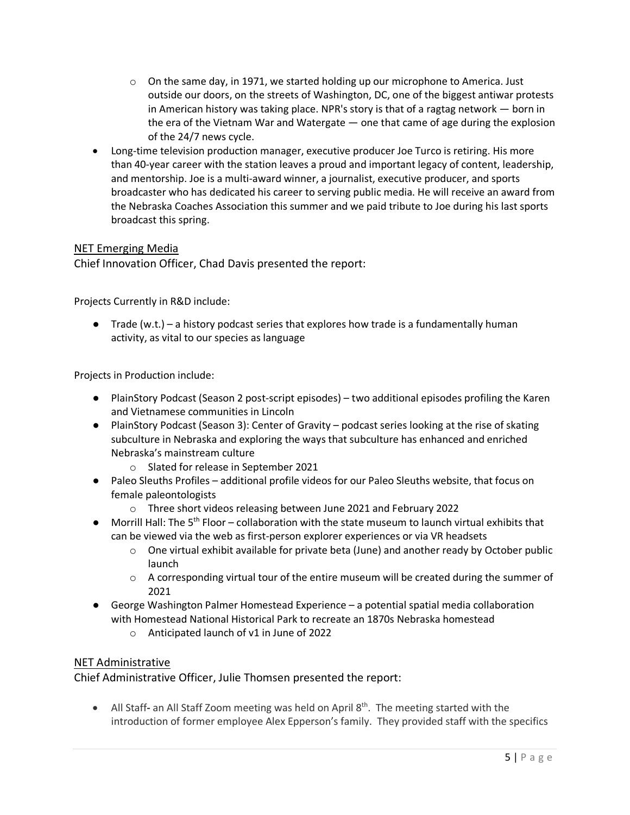- $\circ$  On the same day, in 1971, we started holding up our microphone to America. Just outside our doors, on the streets of Washington, DC, one of the biggest antiwar protests in American history was taking place. NPR's story is that of a ragtag network  $-$  born in the era of the Vietnam War and Watergate — one that came of age during the explosion of the 24/7 news cycle.
- Long-time television production manager, executive producer Joe Turco is retiring. His more than 40-year career with the station leaves a proud and important legacy of content, leadership, and mentorship. Joe is a multi-award winner, a journalist, executive producer, and sports broadcaster who has dedicated his career to serving public media. He will receive an award from the Nebraska Coaches Association this summer and we paid tribute to Joe during his last sports broadcast this spring.

## NET Emerging Media

Chief Innovation Officer, Chad Davis presented the report:

Projects Currently in R&D include:

 $\bullet$  Trade (w.t.) – a history podcast series that explores how trade is a fundamentally human activity, as vital to our species as language

Projects in Production include:

- PlainStory Podcast (Season 2 post-script episodes) two additional episodes profiling the Karen and Vietnamese communities in Lincoln
- PlainStory Podcast (Season 3): Center of Gravity podcast series looking at the rise of skating subculture in Nebraska and exploring the ways that subculture has enhanced and enriched Nebraska's mainstream culture
	- o Slated for release in September 2021
- Paleo Sleuths Profiles additional profile videos for our Paleo Sleuths website, that focus on female paleontologists
	- o Three short videos releasing between June 2021 and February 2022
- $\bullet$  Morrill Hall: The 5<sup>th</sup> Floor collaboration with the state museum to launch virtual exhibits that can be viewed via the web as first-person explorer experiences or via VR headsets
	- $\circ$  One virtual exhibit available for private beta (June) and another ready by October public launch
	- $\circ$  A corresponding virtual tour of the entire museum will be created during the summer of 2021
- George Washington Palmer Homestead Experience a potential spatial media collaboration with Homestead National Historical Park to recreate an 1870s Nebraska homestead
	- o Anticipated launch of v1 in June of 2022

## NET Administrative

Chief Administrative Officer, Julie Thomsen presented the report:

• All Staff**-** an All Staff Zoom meeting was held on April 8th. The meeting started with the introduction of former employee Alex Epperson's family. They provided staff with the specifics